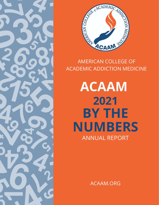



## AMERICAN COLLEGE OF ACADEMIC ADDICTION MEDICINE

**ACAAM** ANNUAL REPORT **2021 BY THE NUMBERS**

ACAAM.ORG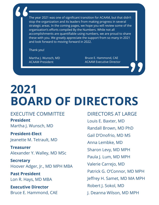The year 2021 was one of significant transition for ACAAM, but that didn't stop the organization and its leaders from making progress in several strategic areas. In the coming pages, we hope you will review some of the organization's efforts compiled By the Numbers. While not all accomplishments are quantifiable using numbers, we are proud to share these with you. We greatly appreciate the support from so many in 2021 and look forward to moving forward in 2022.

Thank you!

Martha J. Wunsch, MD ACAAM President

Bruce E. Hammond, CAE ACAAM Executive Director

# **2021 BOARD OF DIRECTORS**

EXECUTIVE COMMITTEE **President** Martha J. Wunsch, MD

**President-Elect** Jeanette M. Tetrault, MD

**Treasurer** Alexander Y. Walley, MD MSc

**Secretary** Hoover Adger, Jr., MD MPH MBA

**Past President** Lon R. Hays, MD MBA

**Executive Director** Bruce E. Hammond, CAE

DIRECTORS AT LARGE Louis E. Baxter, MD Randall Brown, MD PhD Gail D'Onofrio, MD MS Anna Lembke, MD Sharon Levy, MD MPH Paula J. Lum, MD MPH Valerie Carrejo, MD Patrick G. O'Connor, MD MPH Jeffrey H. Samet, MD MA MPH Robert J. Sokol, MD J. Deanna Wilson, MD MPH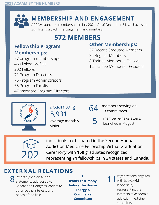

## **MEMBERSHIP AND ENGAGEMENT**

ACAAM launched membership in July 2021. As of December 31, we have seen significant growth in engagement and numbers.

# **572 MEMBERS**

## **Fellowship Program Memberships:**

77 program memberships 460 linked profiles 202 Fellows 71 Program Directors 75 Program Administrators 65 Program Faculty 47 Associate Program Directors

#### **Other Memberships:**

- 57 Recent Graduate Members
- 35 Regular Members
- 8 Trainee Members Fellows
- 12 Trainee Members Resident



### 5,931 acaam.org

average monthly visits

#### members serving on 13 committees

member e-newsletters, launched in August 5



individuals participated in the Second Annual Addiction Medicine Fellowship Virtual Graduation Ceremony with **150** graduates recognized representing **71** fellowships in **34** states and Canada.

## **EXTERNAL RELATIONS**

**O** letters signed on to and  $\mathbf{S}$  letters signed on to and<br>  $\mathbf{S}$  statements addressed to **leader testimony** 11 Senate and Congress leaders to advance the interests and needs of the field

**1 leader testimony before the House Energy & Commerce Committee**

organizations engaged with by ACAAM leadership, representing the interests of academic addiction medicine specialists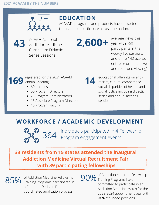

## **EDUCATION**

ACAAM's programs and products have attracted thousands to participate across the nation.



ACAAM National Addiction Medicine Curriculum Didactic Series Sessions

**2,600+**

average views this year with ~60 participants in the weekly live sessions and up to 142 access entries (combined live and recorded viewing)

#### registered for the 2021 ACAAM 169 Annual Meeting

- 60 trainees
- 50 Program Directors
- 28 Program Administrators
- 15 Associate Program Directors
- 16 Program Faculty

educational offerings on antiracism, cultural competence, social disparities of health, and social justice including didactic series and annual meeting sessions **14**

# **WORKFORCE / ACADEMIC DEVELOPMENT**



individuals participated in 4 Fellowship Program engagement events

**33 residents from 15 states attended the inaugural Addiction Medicine Virtual Recruitment Fair with 39 participating fellowships**

85%

of Addiction Medicine Fellowship Training Programs participated in a Common Decision Date coordinated application process

of Addiction Medicine Fellowship 90% <sup>or Addiction Medicine Fe</sup> committed to participate in an Addiction Medicine Match for the 2023-2024 appointment year with **91%** of funded positions.